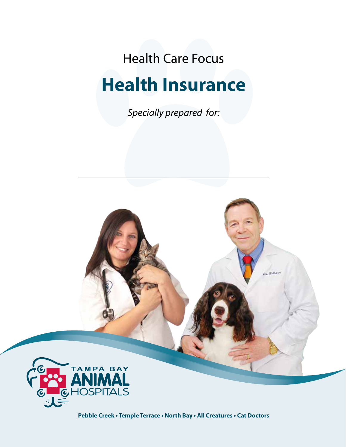Health Care Focus

# **Health Insurance**

*Specially prepared for:*



**Pebble Creek • Temple Terrace • North Bay • All Creatures • Cat Doctors**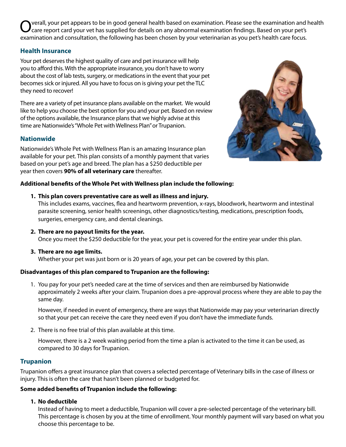Overall, your pet appears to be in good general health based on examination. Please see the examination and health Care report card your vet has supplied for details on any abnormal examination findings. Based on your pet' examination and consultation, the following has been chosen by your veterinarian as you pet's health care focus.

# **Health Insurance**

Your pet deserves the highest quality of care and pet insurance will help you to afford this. With the appropriate insurance, you don't have to worry about the cost of lab tests, surgery, or medications in the event that your pet becomes sick or injured. All you have to focus on is giving your pet the TLC they need to recover!

There are a variety of pet insurance plans available on the market. We would like to help you choose the best option for you and your pet. Based on review of the options available, the Insurance plans that we highly advise at this time are Nationwide's "Whole Pet with Wellness Plan" or Trupanion.

# **Nationwide**

Nationwide's Whole Pet with Wellness Plan is an amazing Insurance plan available for your pet. This plan consists of a monthly payment that varies based on your pet's age and breed. The plan has a \$250 deductible per year then covers **90% of all veterinary care** thereafter.



## **Additional benefits of the Whole Pet with Wellness plan include the following:**

**1. This plan covers preventative care as well as illness and injury.** 

This includes exams, vaccines, flea and heartworm prevention, x-rays, bloodwork, heartworm and intestinal parasite screening, senior health screenings, other diagnostics/testing, medications, prescription foods, surgeries, emergency care, and dental cleanings.

**2. There are no payout limits for the year.** 

Once you meet the \$250 deductible for the year, your pet is covered for the entire year under this plan.

**3. There are no age limits.**

Whether your pet was just born or is 20 years of age, your pet can be covered by this plan.

# **Disadvantages of this plan compared to Trupanion are the following:**

1. You pay for your pet's needed care at the time of services and then are reimbursed by Nationwide approximately 2 weeks after your claim. Trupanion does a pre-approval process where they are able to pay the same day.

However, if needed in event of emergency, there are ways that Nationwide may pay your veterinarian directly so that your pet can receive the care they need even if you don't have the immediate funds.

2. There is no free trial of this plan available at this time.

However, there is a 2 week waiting period from the time a plan is activated to the time it can be used, as compared to 30 days for Trupanion.

# **Trupanion**

Trupanion offers a great insurance plan that covers a selected percentage of Veterinary bills in the case of illness or injury. This is often the care that hasn't been planned or budgeted for.

# **Some added benefits of Trupanion include the following:**

# **1. No deductible**

Instead of having to meet a deductible, Trupanion will cover a pre-selected percentage of the veterinary bill. This percentage is chosen by you at the time of enrollment. Your monthly payment will vary based on what you choose this percentage to be.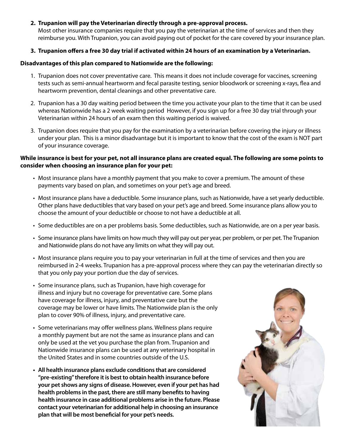## **2. Trupanion will pay the Veterinarian directly through a pre-approval process.**

Most other insurance companies require that you pay the veterinarian at the time of services and then they reimburse you. With Trupanion, you can avoid paying out of pocket for the care covered by your insurance plan.

## **3. Trupanion offers a free 30 day trial if activated within 24 hours of an examination by a Veterinarian.**

### **Disadvantages of this plan compared to Nationwide are the following:**

- 1. Trupanion does not cover preventative care. This means it does not include coverage for vaccines, screening tests such as semi-annual heartworm and fecal parasite testing, senior bloodwork or screening x-rays, flea and heartworm prevention, dental cleanings and other preventative care.
- 2. Trupanion has a 30 day waiting period between the time you activate your plan to the time that it can be used whereas Nationwide has a 2 week waiting period However, if you sign up for a free 30 day trial through your Veterinarian within 24 hours of an exam then this waiting period is waived.
- 3. Trupanion does require that you pay for the examination by a veterinarian before covering the injury or illness under your plan. This is a minor disadvantage but it is important to know that the cost of the exam is NOT part of your insurance coverage.

## **While insurance is best for your pet, not all insurance plans are created equal. The following are some points to consider when choosing an insurance plan for your pet:**

- • Most insurance plans have a monthly payment that you make to cover a premium. The amount of these payments vary based on plan, and sometimes on your pet's age and breed.
- • Most insurance plans have a deductible. Some insurance plans, such as Nationwide, have a set yearly deductible. Other plans have deductibles that vary based on your pet's age and breed. Some insurance plans allow you to choose the amount of your deductible or choose to not have a deductible at all.
- • Some deductibles are on a per problems basis. Some deductibles, such as Nationwide, are on a per year basis.
- • Some insurance plans have limits on how much they will pay out per year, per problem, or per pet. The Trupanion and Nationwide plans do not have any limits on what they will pay out.
- • Most insurance plans require you to pay your veterinarian in full at the time of services and then you are reimbursed in 2-4 weeks. Trupanion has a pre-approval process where they can pay the veterinarian directly so that you only pay your portion due the day of services.
- Some insurance plans, such as Trupanion, have high coverage for illness and injury but no coverage for preventative care. Some plans have coverage for illness, injury, and preventative care but the coverage may be lower or have limits. The Nationwide plan is the only plan to cover 90% of illness, injury, and preventative care.
- Some veterinarians may offer wellness plans. Wellness plans require a monthly payment but are not the same as insurance plans and can only be used at the vet you purchase the plan from. Trupanion and Nationwide insurance plans can be used at any veterinary hospital in the United States and in some countries outside of the U.S.
- **• All health insurance plans exclude conditions that are considered "pre-existing"therefore it is best to obtain health insurance before your pet shows any signs of disease. However, even if your pet has had health problems in the past, there are still many benefits to having health insurance in case additional problems arise in the future. Please contact your veterinarian for additional help in choosing an insurance plan that will be most beneficial for your pet's needs.**